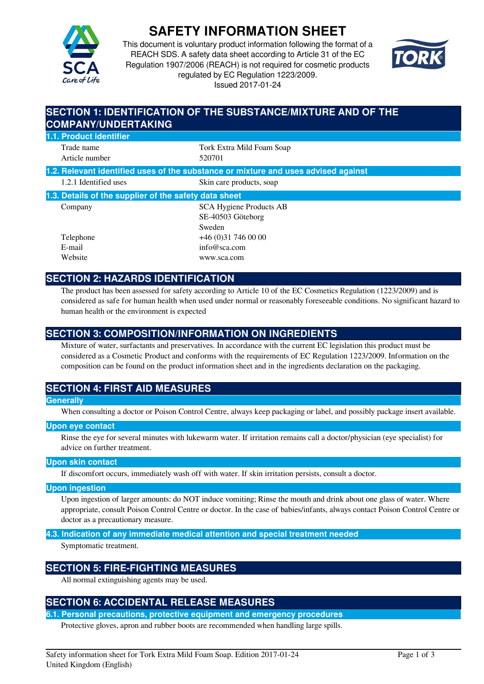

# **SAFETY INFORMATION SHEET**

This document is voluntary product information following the format of a REACH SDS. A safety data sheet according to Article 31 of the EC Regulation 1907/2006 (REACH) is not required for cosmetic products regulated by EC Regulation 1223/2009. Issued 2017-01-24



## **SECTION 1: IDENTIFICATION OF THE SUBSTANCE/MIXTURE AND OF THE COMPANY/UNDERTAKING 1.1. Product identifier** Trade name Tork Extra Mild Foam Soap Article number 520701 **1.2. Relevant identified uses of the substance or mixture and uses advised against** 1.2.1 Identified uses Skin care products, soap **1.3. Details of the supplier of the safety data sheet** Company SCA Hygiene Products AB SE-40503 Göteborg Sweden Telephone +46 (0)31 746 00 00 E-mail info@sca.com Website www.sca.com

## **SECTION 2: HAZARDS IDENTIFICATION**

The product has been assessed for safety according to Article 10 of the EC Cosmetics Regulation (1223/2009) and is considered as safe for human health when used under normal or reasonably foreseeable conditions. No significant hazard to human health or the environment is expected

## **SECTION 3: COMPOSITION/INFORMATION ON INGREDIENTS**

Mixture of water, surfactants and preservatives. In accordance with the current EC legislation this product must be considered as a Cosmetic Product and conforms with the requirements of EC Regulation 1223/2009. Information on the composition can be found on the product information sheet and in the ingredients declaration on the packaging.

## **SECTION 4: FIRST AID MEASURES**

### **Generally**

When consulting a doctor or Poison Control Centre, always keep packaging or label, and possibly package insert available.

#### **Upon eye contact**

Rinse the eye for several minutes with lukewarm water. If irritation remains call a doctor/physician (eye specialist) for advice on further treatment.

### **Upon skin contact**

If discomfort occurs, immediately wash off with water. If skin irritation persists, consult a doctor.

#### **Upon ingestion**

Upon ingestion of larger amounts: do NOT induce vomiting; Rinse the mouth and drink about one glass of water. Where appropriate, consult Poison Control Centre or doctor. In the case of babies/infants, always contact Poison Control Centre or doctor as a precautionary measure.

**4.3. Indication of any immediate medical attention and special treatment needed**

Symptomatic treatment.

## **SECTION 5: FIRE-FIGHTING MEASURES**

All normal extinguishing agents may be used.

## **SECTION 6: ACCIDENTAL RELEASE MEASURES**

**6.1. Personal precautions, protective equipment and emergency procedures**

Protective gloves, apron and rubber boots are recommended when handling large spills.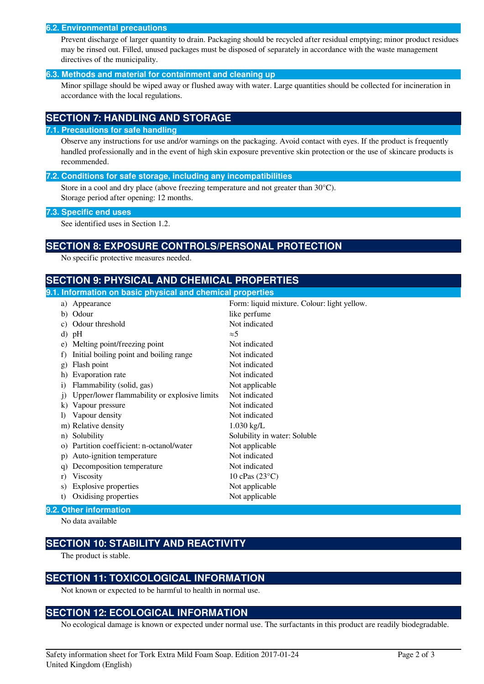#### **6.2. Environmental precautions**

Prevent discharge of larger quantity to drain. Packaging should be recycled after residual emptying; minor product residues may be rinsed out. Filled, unused packages must be disposed of separately in accordance with the waste management directives of the municipality.

#### **6.3. Methods and material for containment and cleaning up**

Minor spillage should be wiped away or flushed away with water. Large quantities should be collected for incineration in accordance with the local regulations.

## **SECTION 7: HANDLING AND STORAGE**

#### **7.1. Precautions for safe handling**

Observe any instructions for use and/or warnings on the packaging. Avoid contact with eyes. If the product is frequently handled professionally and in the event of high skin exposure preventive skin protection or the use of skincare products is recommended.

#### **7.2. Conditions for safe storage, including any incompatibilities**

Store in a cool and dry place (above freezing temperature and not greater than 30°C). Storage period after opening: 12 months.

#### **7.3. Specific end uses**

See identified uses in Section 1.2.

## **SECTION 8: EXPOSURE CONTROLS/PERSONAL PROTECTION**

No specific protective measures needed.

## **SECTION 9: PHYSICAL AND CHEMICAL PROPERTIES**

| 9.1. Information on basic physical and chemical properties |                                              |                                             |
|------------------------------------------------------------|----------------------------------------------|---------------------------------------------|
|                                                            | a) Appearance                                | Form: liquid mixture. Colour: light yellow. |
|                                                            | b) Odour                                     | like perfume                                |
| C)                                                         | Odour threshold                              | Not indicated                               |
| d)                                                         | pH                                           | $\approx$ 5                                 |
| e)                                                         | Melting point/freezing point                 | Not indicated                               |
| f)                                                         | Initial boiling point and boiling range      | Not indicated                               |
| $\mathbf{g}$                                               | Flash point                                  | Not indicated                               |
| h)                                                         | Evaporation rate                             | Not indicated                               |
| $\mathbf{i}$                                               | Flammability (solid, gas)                    | Not applicable                              |
| $\mathbf{1}$                                               | Upper/lower flammability or explosive limits | Not indicated                               |
| $\bf{k}$                                                   | Vapour pressure                              | Not indicated                               |
|                                                            | Vapour density                               | Not indicated                               |
|                                                            | m) Relative density                          | $1.030$ kg/L                                |
| n)                                                         | Solubility                                   | Solubility in water: Soluble                |
| $\Omega$                                                   | Partition coefficient: n-octanol/water       | Not applicable                              |
| p)                                                         | Auto-ignition temperature                    | Not indicated                               |
| q)                                                         | Decomposition temperature                    | Not indicated                               |
| r)                                                         | Viscosity                                    | 10 cPas $(23^{\circ}C)$                     |
| S)                                                         | <b>Explosive properties</b>                  | Not applicable                              |
| t)                                                         | Oxidising properties                         | Not applicable                              |
| 9.2. Other information                                     |                                              |                                             |

No data available

## **SECTION 10: STABILITY AND REACTIVITY**

The product is stable.

## **SECTION 11: TOXICOLOGICAL INFORMATION**

Not known or expected to be harmful to health in normal use.

## **SECTION 12: ECOLOGICAL INFORMATION**

No ecological damage is known or expected under normal use. The surfactants in this product are readily biodegradable.